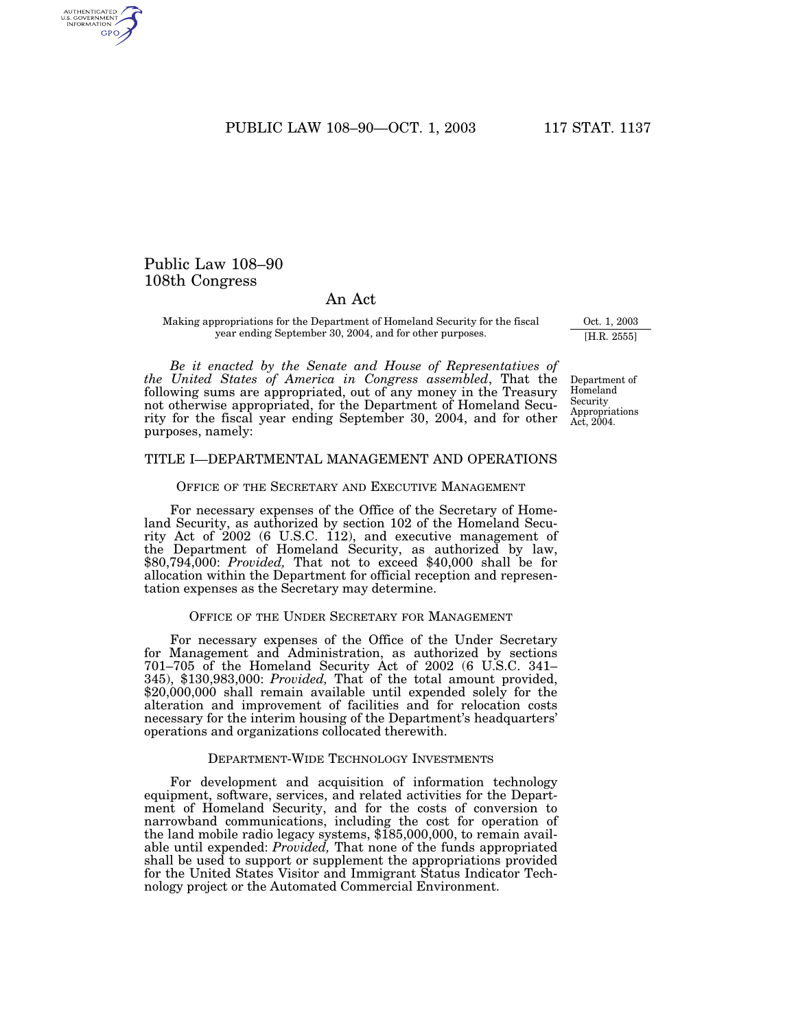PUBLIC LAW 108-90-OCT. 1, 2003 117 STAT. 1137

# Public Law 108–90 108th Congress

# An Act

Making appropriations for the Department of Homeland Security for the fiscal year ending September 30, 2004, and for other purposes.

*Be it enacted by the Senate and House of Representatives of the United States of America in Congress assembled*, That the following sums are appropriated, out of any money in the Treasury not otherwise appropriated, for the Department of Homeland Security for the fiscal year ending September 30, 2004, and for other purposes, namely:

#### Department of Homeland Security Appropriations Act, 2004.

Oct. 1, 2003 [H.R. 2555]

## TITLE I—DEPARTMENTAL MANAGEMENT AND OPERATIONS

### OFFICE OF THE SECRETARY AND EXECUTIVE MANAGEMENT

For necessary expenses of the Office of the Secretary of Homeland Security, as authorized by section 102 of the Homeland Security Act of 2002 (6 U.S.C. 112), and executive management of the Department of Homeland Security, as authorized by law, \$80,794,000: *Provided,* That not to exceed \$40,000 shall be for allocation within the Department for official reception and representation expenses as the Secretary may determine.

#### OFFICE OF THE UNDER SECRETARY FOR MANAGEMENT

For necessary expenses of the Office of the Under Secretary for Management and Administration, as authorized by sections 701–705 of the Homeland Security Act of 2002 (6 U.S.C. 341– 345), \$130,983,000: *Provided,* That of the total amount provided, \$20,000,000 shall remain available until expended solely for the alteration and improvement of facilities and for relocation costs necessary for the interim housing of the Department's headquarters' operations and organizations collocated therewith.

### DEPARTMENT-WIDE TECHNOLOGY INVESTMENTS

For development and acquisition of information technology equipment, software, services, and related activities for the Department of Homeland Security, and for the costs of conversion to narrowband communications, including the cost for operation of the land mobile radio legacy systems, \$185,000,000, to remain available until expended: *Provided,* That none of the funds appropriated shall be used to support or supplement the appropriations provided for the United States Visitor and Immigrant Status Indicator Technology project or the Automated Commercial Environment.

AUTHENTICATED<br>U.S. GOVERNMENT<br>INFORMATION **GPO**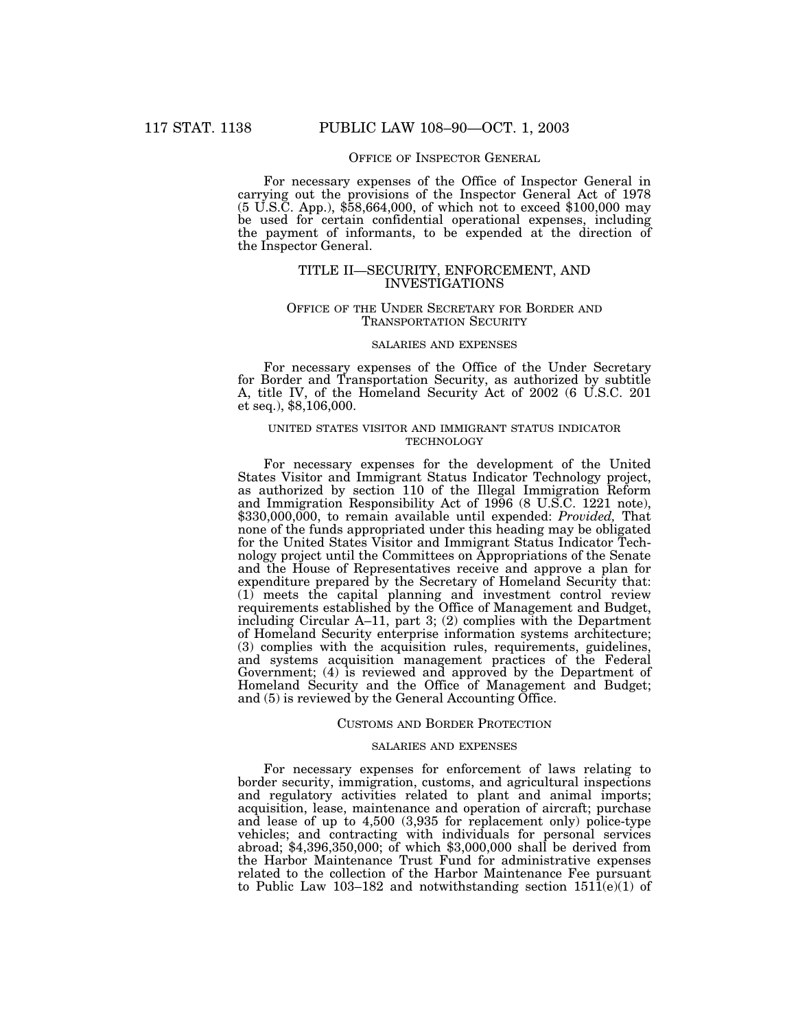### OFFICE OF INSPECTOR GENERAL

For necessary expenses of the Office of Inspector General in carrying out the provisions of the Inspector General Act of 1978 (5 U.S.C. App.), \$58,664,000, of which not to exceed \$100,000 may be used for certain confidential operational expenses, including the payment of informants, to be expended at the direction of the Inspector General.

## TITLE II—SECURITY, ENFORCEMENT, AND INVESTIGATIONS

### OFFICE OF THE UNDER SECRETARY FOR BORDER AND TRANSPORTATION SECURITY

## SALARIES AND EXPENSES

For necessary expenses of the Office of the Under Secretary for Border and Transportation Security, as authorized by subtitle A, title IV, of the Homeland Security Act of 2002 (6 U.S.C. 201 et seq.), \$8,106,000.

## UNITED STATES VISITOR AND IMMIGRANT STATUS INDICATOR TECHNOLOGY

For necessary expenses for the development of the United States Visitor and Immigrant Status Indicator Technology project, as authorized by section 110 of the Illegal Immigration Reform and Immigration Responsibility Act of 1996 (8 U.S.C. 1221 note), \$330,000,000, to remain available until expended: *Provided*, That none of the funds appropriated under this heading may be obligated for the United States Visitor and Immigrant Status Indicator Technology project until the Committees on Appropriations of the Senate and the House of Representatives receive and approve a plan for expenditure prepared by the Secretary of Homeland Security that: (1) meets the capital planning and investment control review requirements established by the Office of Management and Budget, including Circular A–11, part 3; (2) complies with the Department of Homeland Security enterprise information systems architecture; (3) complies with the acquisition rules, requirements, guidelines, and systems acquisition management practices of the Federal Government; (4) is reviewed and approved by the Department of Homeland Security and the Office of Management and Budget; and (5) is reviewed by the General Accounting Office.

#### CUSTOMS AND BORDER PROTECTION

### SALARIES AND EXPENSES

For necessary expenses for enforcement of laws relating to border security, immigration, customs, and agricultural inspections and regulatory activities related to plant and animal imports; acquisition, lease, maintenance and operation of aircraft; purchase and lease of up to 4,500 (3,935 for replacement only) police-type vehicles; and contracting with individuals for personal services abroad; \$4,396,350,000; of which \$3,000,000 shall be derived from the Harbor Maintenance Trust Fund for administrative expenses related to the collection of the Harbor Maintenance Fee pursuant to Public Law 103–182 and notwithstanding section  $151\overline{1}(e)(1)$  of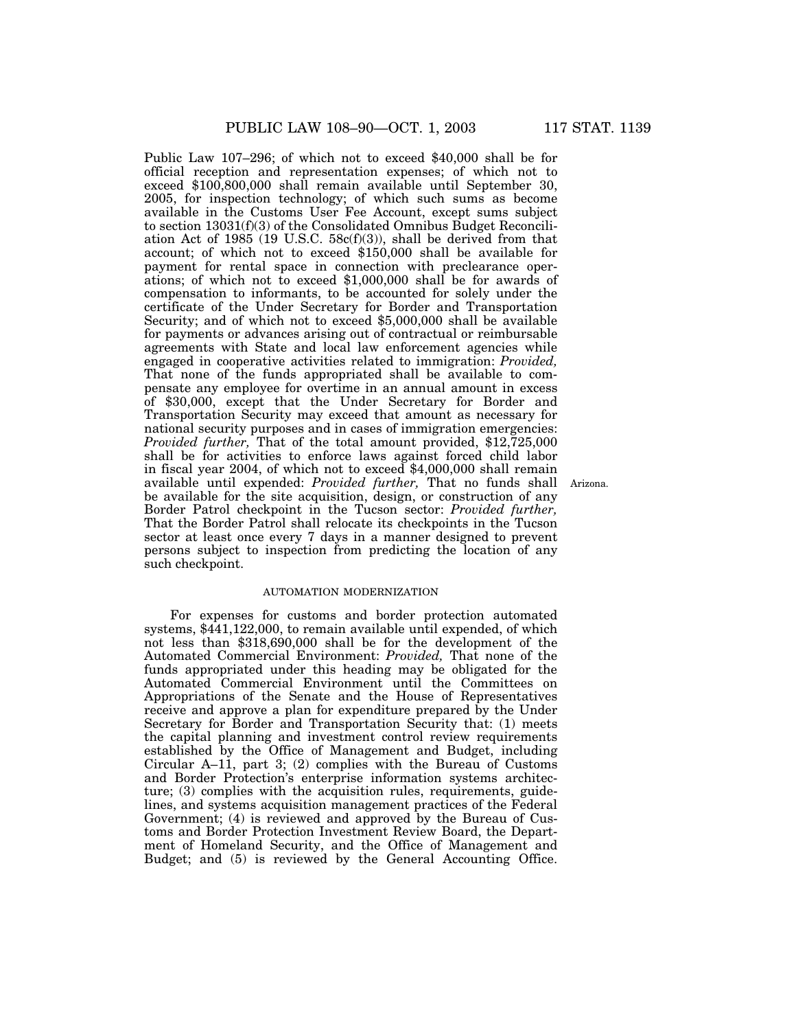Public Law 107–296; of which not to exceed \$40,000 shall be for official reception and representation expenses; of which not to exceed \$100,800,000 shall remain available until September 30, 2005, for inspection technology; of which such sums as become available in the Customs User Fee Account, except sums subject to section 13031(f)(3) of the Consolidated Omnibus Budget Reconciliation Act of 1985 (19 U.S.C.  $58c(f)(3)$ ), shall be derived from that account; of which not to exceed \$150,000 shall be available for payment for rental space in connection with preclearance operations; of which not to exceed \$1,000,000 shall be for awards of compensation to informants, to be accounted for solely under the certificate of the Under Secretary for Border and Transportation Security; and of which not to exceed \$5,000,000 shall be available for payments or advances arising out of contractual or reimbursable agreements with State and local law enforcement agencies while engaged in cooperative activities related to immigration: *Provided,* That none of the funds appropriated shall be available to compensate any employee for overtime in an annual amount in excess of \$30,000, except that the Under Secretary for Border and Transportation Security may exceed that amount as necessary for national security purposes and in cases of immigration emergencies: *Provided further,* That of the total amount provided, \$12,725,000 shall be for activities to enforce laws against forced child labor in fiscal year 2004, of which not to exceed \$4,000,000 shall remain available until expended: *Provided further,* That no funds shall Arizona. be available for the site acquisition, design, or construction of any Border Patrol checkpoint in the Tucson sector: *Provided further,* That the Border Patrol shall relocate its checkpoints in the Tucson sector at least once every 7 days in a manner designed to prevent persons subject to inspection from predicting the location of any such checkpoint.

### AUTOMATION MODERNIZATION

For expenses for customs and border protection automated systems, \$441,122,000, to remain available until expended, of which not less than \$318,690,000 shall be for the development of the Automated Commercial Environment: *Provided,* That none of the funds appropriated under this heading may be obligated for the Automated Commercial Environment until the Committees on Appropriations of the Senate and the House of Representatives receive and approve a plan for expenditure prepared by the Under Secretary for Border and Transportation Security that: (1) meets the capital planning and investment control review requirements established by the Office of Management and Budget, including Circular A–11, part 3; (2) complies with the Bureau of Customs and Border Protection's enterprise information systems architecture; (3) complies with the acquisition rules, requirements, guidelines, and systems acquisition management practices of the Federal Government; (4) is reviewed and approved by the Bureau of Customs and Border Protection Investment Review Board, the Department of Homeland Security, and the Office of Management and Budget; and (5) is reviewed by the General Accounting Office.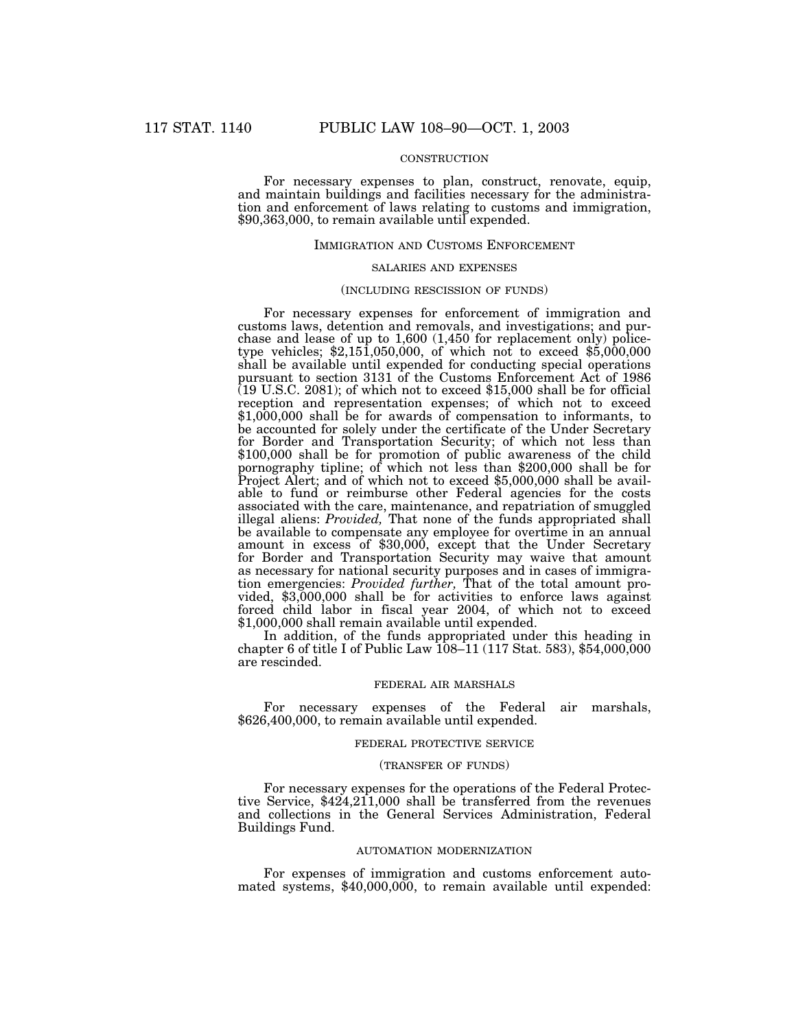## **CONSTRUCTION**

For necessary expenses to plan, construct, renovate, equip, and maintain buildings and facilities necessary for the administration and enforcement of laws relating to customs and immigration, \$90,363,000, to remain available until expended.

#### IMMIGRATION AND CUSTOMS ENFORCEMENT

### SALARIES AND EXPENSES

#### (INCLUDING RESCISSION OF FUNDS)

For necessary expenses for enforcement of immigration and customs laws, detention and removals, and investigations; and purchase and lease of up to 1,600 (1,450 for replacement only) policetype vehicles;  $$2,151,050,000$ , of which not to exceed  $$5,000,000$ shall be available until expended for conducting special operations pursuant to section 3131 of the Customs Enforcement Act of 1986  $(19 \text{ U.S.C. } 2081)$ ; of which not to exceed \$15,000 shall be for official reception and representation expenses; of which not to exceed \$1,000,000 shall be for awards of compensation to informants, to be accounted for solely under the certificate of the Under Secretary for Border and Transportation Security; of which not less than \$100,000 shall be for promotion of public awareness of the child pornography tipline; of which not less than \$200,000 shall be for Project Alert; and of which not to exceed \$5,000,000 shall be available to fund or reimburse other Federal agencies for the costs associated with the care, maintenance, and repatriation of smuggled illegal aliens: *Provided,* That none of the funds appropriated shall be available to compensate any employee for overtime in an annual amount in excess of \$30,000, except that the Under Secretary for Border and Transportation Security may waive that amount as necessary for national security purposes and in cases of immigration emergencies: *Provided further,* That of the total amount provided, \$3,000,000 shall be for activities to enforce laws against forced child labor in fiscal year 2004, of which not to exceed \$1,000,000 shall remain available until expended.

In addition, of the funds appropriated under this heading in chapter 6 of title I of Public Law 108–11 (117 Stat. 583), \$54,000,000 are rescinded.

## FEDERAL AIR MARSHALS

For necessary expenses of the Federal air marshals, \$626,400,000, to remain available until expended.

#### FEDERAL PROTECTIVE SERVICE

### (TRANSFER OF FUNDS)

For necessary expenses for the operations of the Federal Protective Service, \$424,211,000 shall be transferred from the revenues and collections in the General Services Administration, Federal Buildings Fund.

#### AUTOMATION MODERNIZATION

For expenses of immigration and customs enforcement automated systems, \$40,000,000, to remain available until expended: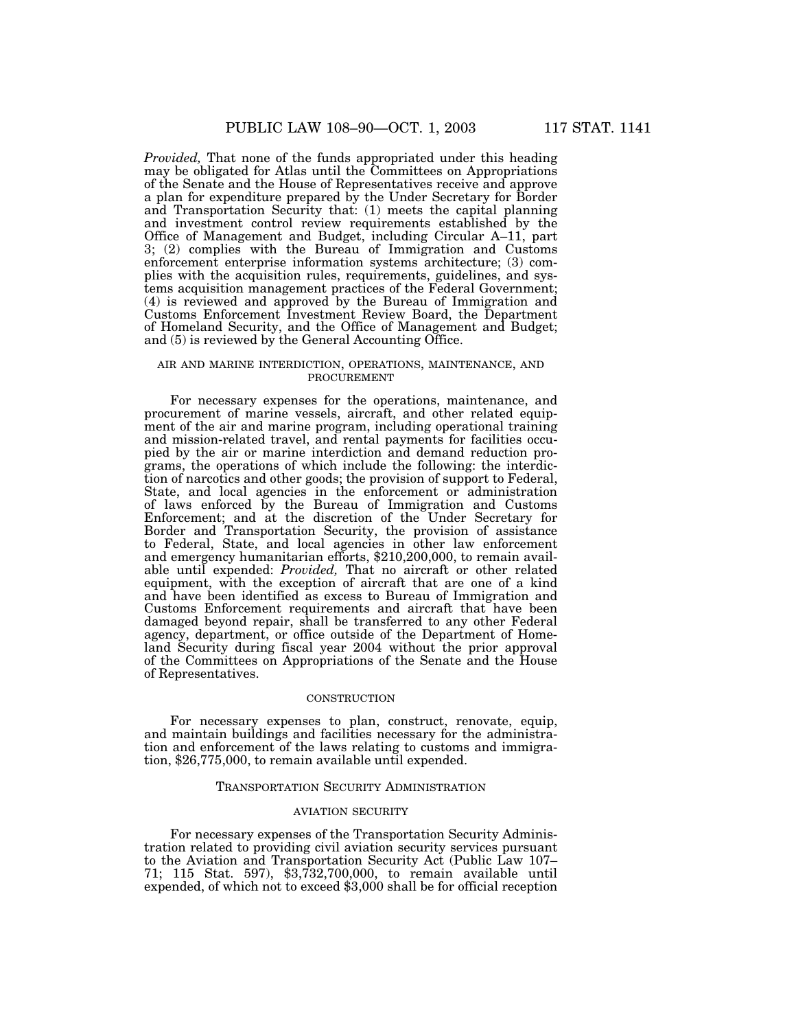*Provided,* That none of the funds appropriated under this heading may be obligated for Atlas until the Committees on Appropriations of the Senate and the House of Representatives receive and approve a plan for expenditure prepared by the Under Secretary for Border and Transportation Security that: (1) meets the capital planning and investment control review requirements established by the Office of Management and Budget, including Circular A–11, part 3; (2) complies with the Bureau of Immigration and Customs enforcement enterprise information systems architecture; (3) complies with the acquisition rules, requirements, guidelines, and systems acquisition management practices of the Federal Government; (4) is reviewed and approved by the Bureau of Immigration and Customs Enforcement Investment Review Board, the Department of Homeland Security, and the Office of Management and Budget; and (5) is reviewed by the General Accounting Office.

### AIR AND MARINE INTERDICTION, OPERATIONS, MAINTENANCE, AND PROCUREMENT

For necessary expenses for the operations, maintenance, and procurement of marine vessels, aircraft, and other related equipment of the air and marine program, including operational training and mission-related travel, and rental payments for facilities occupied by the air or marine interdiction and demand reduction programs, the operations of which include the following: the interdiction of narcotics and other goods; the provision of support to Federal, State, and local agencies in the enforcement or administration of laws enforced by the Bureau of Immigration and Customs Enforcement; and at the discretion of the Under Secretary for Border and Transportation Security, the provision of assistance to Federal, State, and local agencies in other law enforcement and emergency humanitarian efforts, \$210,200,000, to remain available until expended: *Provided,* That no aircraft or other related equipment, with the exception of aircraft that are one of a kind and have been identified as excess to Bureau of Immigration and Customs Enforcement requirements and aircraft that have been damaged beyond repair, shall be transferred to any other Federal agency, department, or office outside of the Department of Homeland Security during fiscal year 2004 without the prior approval of the Committees on Appropriations of the Senate and the House of Representatives.

#### **CONSTRUCTION**

For necessary expenses to plan, construct, renovate, equip, and maintain buildings and facilities necessary for the administration and enforcement of the laws relating to customs and immigration, \$26,775,000, to remain available until expended.

#### TRANSPORTATION SECURITY ADMINISTRATION

### AVIATION SECURITY

For necessary expenses of the Transportation Security Administration related to providing civil aviation security services pursuant to the Aviation and Transportation Security Act (Public Law 107– 71; 115 Stat. 597), \$3,732,700,000, to remain available until expended, of which not to exceed \$3,000 shall be for official reception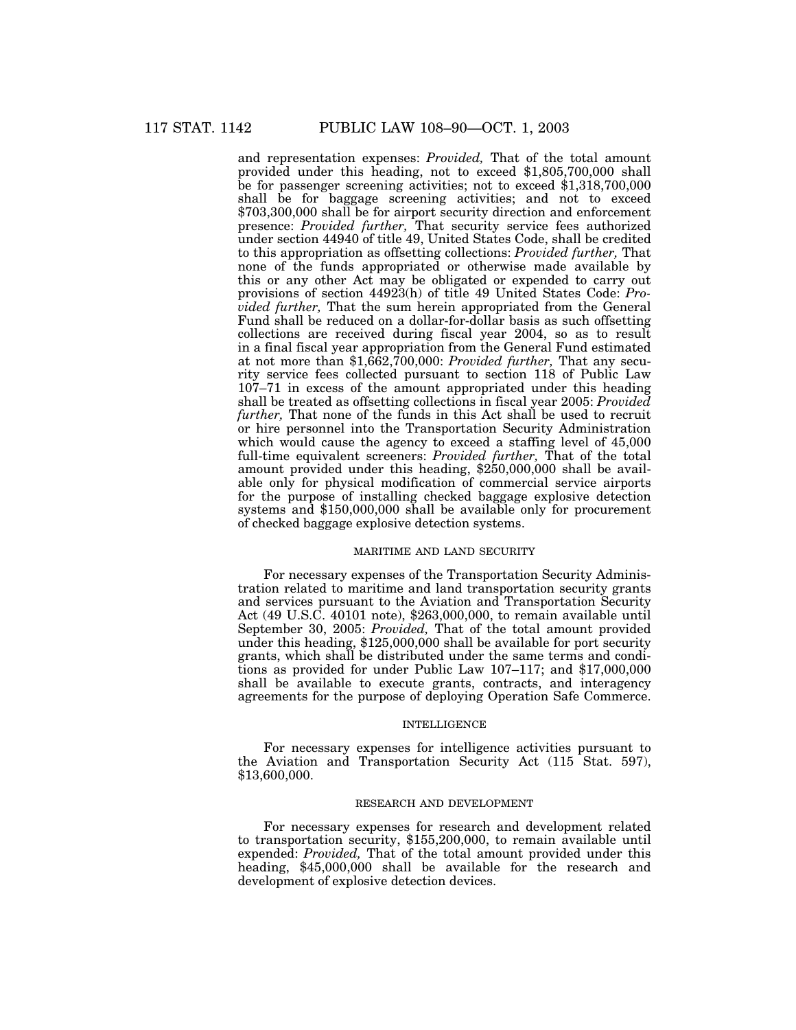and representation expenses: *Provided,* That of the total amount provided under this heading, not to exceed \$1,805,700,000 shall be for passenger screening activities; not to exceed \$1,318,700,000 shall be for baggage screening activities; and not to exceed \$703,300,000 shall be for airport security direction and enforcement presence: *Provided further,* That security service fees authorized under section 44940 of title 49, United States Code, shall be credited to this appropriation as offsetting collections: *Provided further,* That none of the funds appropriated or otherwise made available by this or any other Act may be obligated or expended to carry out provisions of section 44923(h) of title 49 United States Code: *Provided further,* That the sum herein appropriated from the General Fund shall be reduced on a dollar-for-dollar basis as such offsetting collections are received during fiscal year 2004, so as to result in a final fiscal year appropriation from the General Fund estimated at not more than \$1,662,700,000: *Provided further,* That any security service fees collected pursuant to section 118 of Public Law 107–71 in excess of the amount appropriated under this heading shall be treated as offsetting collections in fiscal year 2005: *Provided further*, That none of the funds in this Act shall be used to recruit or hire personnel into the Transportation Security Administration which would cause the agency to exceed a staffing level of 45,000 full-time equivalent screeners: *Provided further,* That of the total amount provided under this heading, \$250,000,000 shall be available only for physical modification of commercial service airports for the purpose of installing checked baggage explosive detection systems and \$150,000,000 shall be available only for procurement of checked baggage explosive detection systems.

## MARITIME AND LAND SECURITY

For necessary expenses of the Transportation Security Administration related to maritime and land transportation security grants and services pursuant to the Aviation and Transportation Security Act (49 U.S.C. 40101 note), \$263,000,000, to remain available until September 30, 2005: *Provided,* That of the total amount provided under this heading, \$125,000,000 shall be available for port security grants, which shall be distributed under the same terms and conditions as provided for under Public Law 107–117; and \$17,000,000 shall be available to execute grants, contracts, and interagency agreements for the purpose of deploying Operation Safe Commerce.

#### INTELLIGENCE

For necessary expenses for intelligence activities pursuant to the Aviation and Transportation Security Act (115 Stat. 597), \$13,600,000.

#### RESEARCH AND DEVELOPMENT

For necessary expenses for research and development related to transportation security, \$155,200,000, to remain available until expended: *Provided,* That of the total amount provided under this heading, \$45,000,000 shall be available for the research and development of explosive detection devices.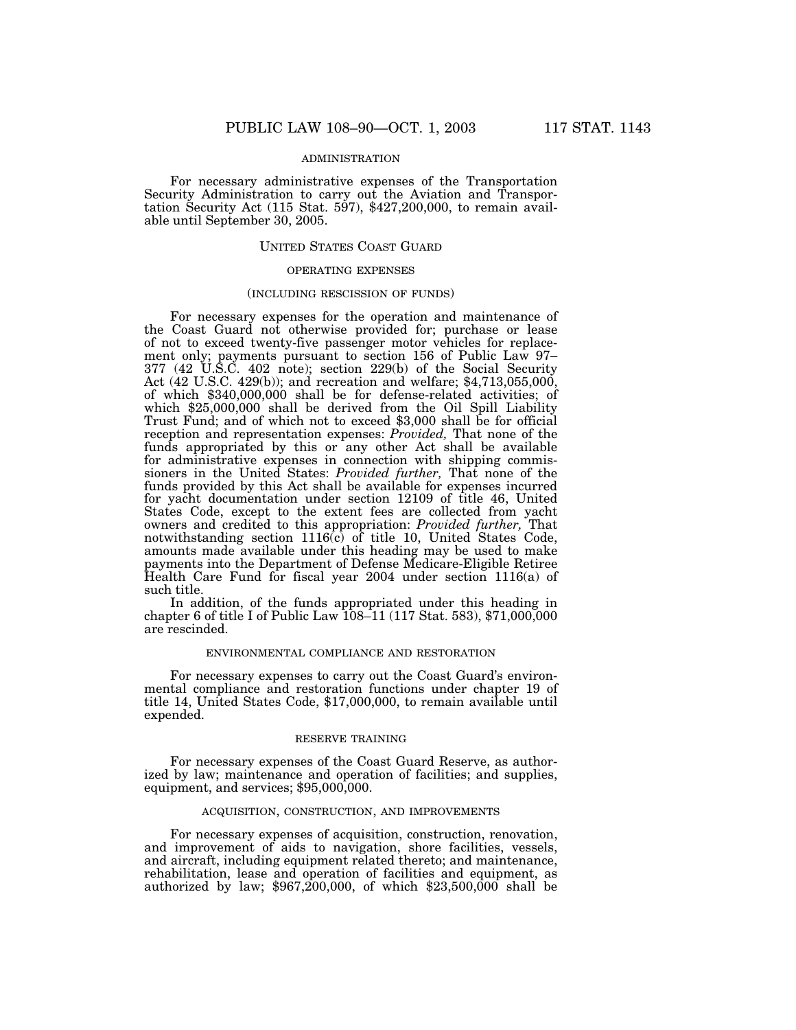## ADMINISTRATION

For necessary administrative expenses of the Transportation Security Administration to carry out the Aviation and Transportation Security Act  $(115 \text{ Stat. } 597)$ , \$427,200,000, to remain available until September 30, 2005.

### UNITED STATES COAST GUARD

#### OPERATING EXPENSES

### (INCLUDING RESCISSION OF FUNDS)

For necessary expenses for the operation and maintenance of the Coast Guard not otherwise provided for; purchase or lease of not to exceed twenty-five passenger motor vehicles for replacement only; payments pursuant to section 156 of Public Law 97– 377 (42 U.S.C. 402 note); section 229(b) of the Social Security Act (42 U.S.C. 429(b)); and recreation and welfare; \$4,713,055,000, of which \$340,000,000 shall be for defense-related activities; of which \$25,000,000 shall be derived from the Oil Spill Liability Trust Fund; and of which not to exceed \$3,000 shall be for official reception and representation expenses: *Provided,* That none of the funds appropriated by this or any other Act shall be available for administrative expenses in connection with shipping commissioners in the United States: *Provided further,* That none of the funds provided by this Act shall be available for expenses incurred for yacht documentation under section 12109 of title 46, United States Code, except to the extent fees are collected from yacht owners and credited to this appropriation: *Provided further,* That notwithstanding section  $1116(c)$  of title 10, United States Code, amounts made available under this heading may be used to make payments into the Department of Defense Medicare-Eligible Retiree Health Care Fund for fiscal year 2004 under section 1116(a) of such title.<br>In addition, of the funds appropriated under this heading in

chapter 6 of title I of Public Law  $108-11$  (117 Stat. 583), \$71,000,000 are rescinded.

#### ENVIRONMENTAL COMPLIANCE AND RESTORATION

For necessary expenses to carry out the Coast Guard's environmental compliance and restoration functions under chapter 19 of title 14, United States Code, \$17,000,000, to remain available until expended.

#### RESERVE TRAINING

For necessary expenses of the Coast Guard Reserve, as authorized by law; maintenance and operation of facilities; and supplies, equipment, and services; \$95,000,000.

#### ACQUISITION, CONSTRUCTION, AND IMPROVEMENTS

For necessary expenses of acquisition, construction, renovation, and improvement of aids to navigation, shore facilities, vessels, and aircraft, including equipment related thereto; and maintenance, rehabilitation, lease and operation of facilities and equipment, as authorized by law;  $$967,200,000$ , of which  $$23,500,000$  shall be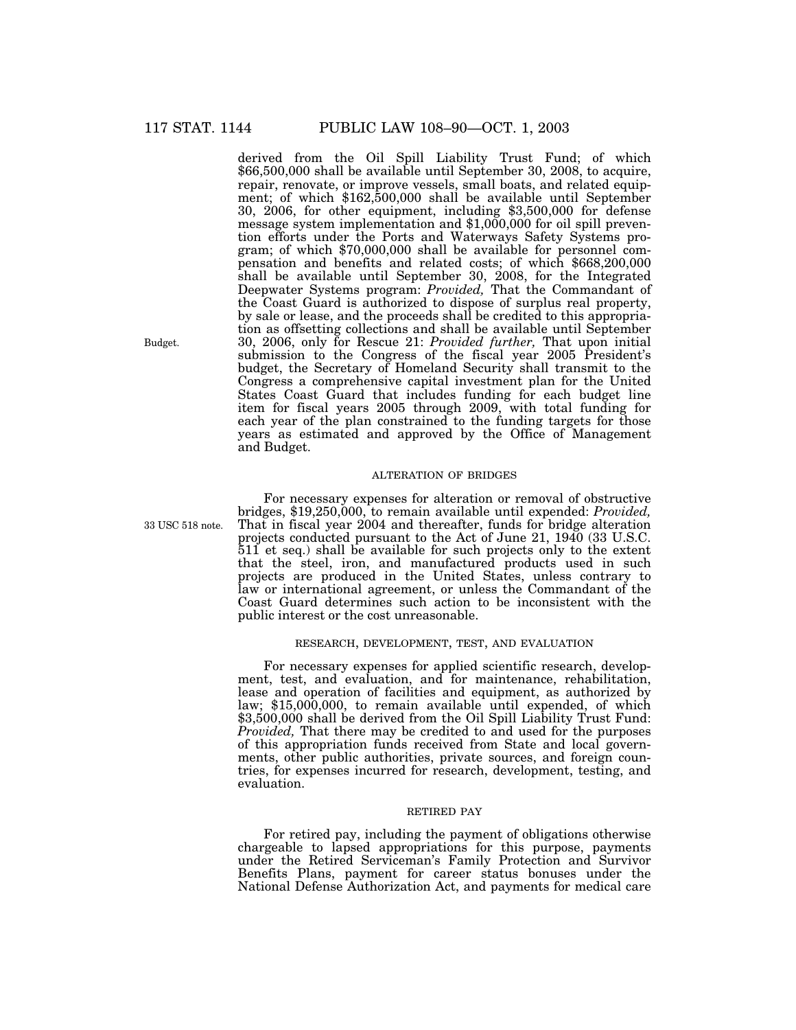derived from the Oil Spill Liability Trust Fund; of which \$66,500,000 shall be available until September 30, 2008, to acquire, repair, renovate, or improve vessels, small boats, and related equipment; of which \$162,500,000 shall be available until September 30, 2006, for other equipment, including \$3,500,000 for defense message system implementation and \$1,000,000 for oil spill prevention efforts under the Ports and Waterways Safety Systems program; of which \$70,000,000 shall be available for personnel compensation and benefits and related costs; of which \$668,200,000 shall be available until September 30, 2008, for the Integrated Deepwater Systems program: *Provided,* That the Commandant of the Coast Guard is authorized to dispose of surplus real property, by sale or lease, and the proceeds shall be credited to this appropriation as offsetting collections and shall be available until September 30, 2006, only for Rescue 21: *Provided further,* That upon initial submission to the Congress of the fiscal year 2005 President's budget, the Secretary of Homeland Security shall transmit to the Congress a comprehensive capital investment plan for the United States Coast Guard that includes funding for each budget line item for fiscal years 2005 through 2009, with total funding for each year of the plan constrained to the funding targets for those years as estimated and approved by the Office of Management and Budget.

### ALTERATION OF BRIDGES

33 USC 518 note.

For necessary expenses for alteration or removal of obstructive bridges, \$19,250,000, to remain available until expended: *Provided,* That in fiscal year 2004 and thereafter, funds for bridge alteration projects conducted pursuant to the Act of June 21, 1940 (33 U.S.C. 511 et seq.) shall be available for such projects only to the extent that the steel, iron, and manufactured products used in such projects are produced in the United States, unless contrary to law or international agreement, or unless the Commandant of the Coast Guard determines such action to be inconsistent with the public interest or the cost unreasonable.

### RESEARCH, DEVELOPMENT, TEST, AND EVALUATION

For necessary expenses for applied scientific research, development, test, and evaluation, and for maintenance, rehabilitation, lease and operation of facilities and equipment, as authorized by law; \$15,000,000, to remain available until expended, of which \$3,500,000 shall be derived from the Oil Spill Liability Trust Fund: *Provided,* That there may be credited to and used for the purposes of this appropriation funds received from State and local governments, other public authorities, private sources, and foreign countries, for expenses incurred for research, development, testing, and evaluation.

### RETIRED PAY

For retired pay, including the payment of obligations otherwise chargeable to lapsed appropriations for this purpose, payments under the Retired Serviceman's Family Protection and Survivor Benefits Plans, payment for career status bonuses under the National Defense Authorization Act, and payments for medical care

Budget.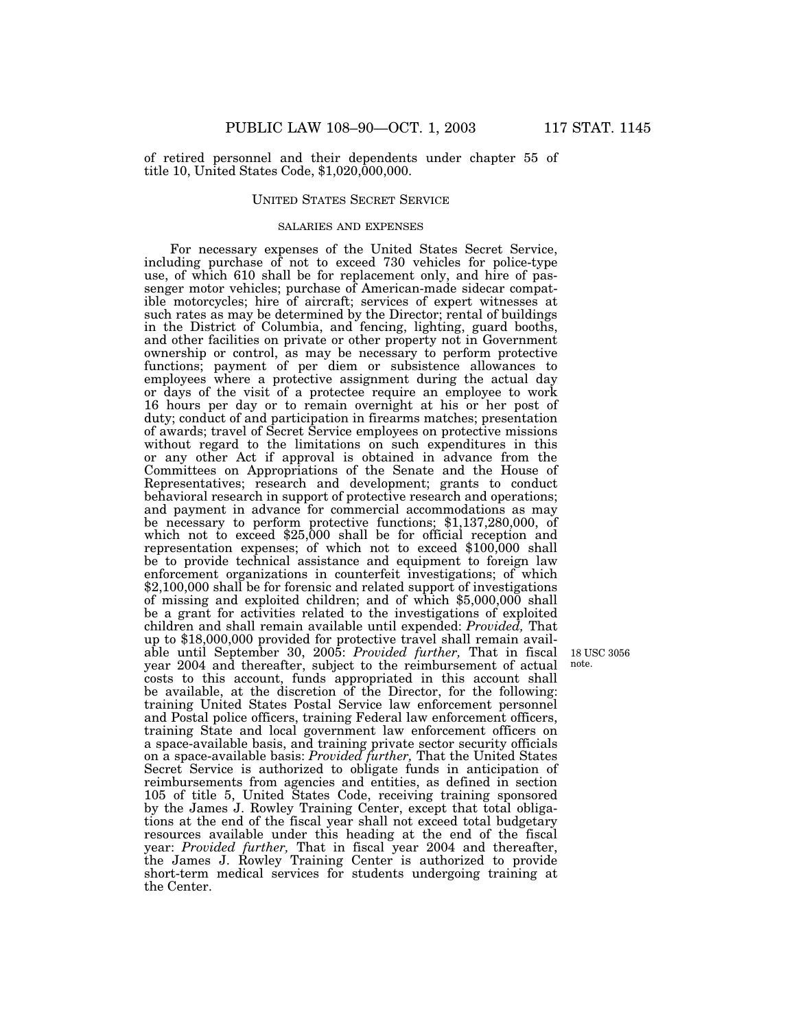of retired personnel and their dependents under chapter 55 of title 10, United States Code, \$1,020,000,000.

## UNITED STATES SECRET SERVICE

#### SALARIES AND EXPENSES

For necessary expenses of the United States Secret Service, including purchase of not to exceed 730 vehicles for police-type use, of which 610 shall be for replacement only, and hire of passenger motor vehicles; purchase of American-made sidecar compatible motorcycles; hire of aircraft; services of expert witnesses at such rates as may be determined by the Director; rental of buildings in the District of Columbia, and fencing, lighting, guard booths, and other facilities on private or other property not in Government ownership or control, as may be necessary to perform protective functions; payment of per diem or subsistence allowances to employees where a protective assignment during the actual day or days of the visit of a protectee require an employee to work 16 hours per day or to remain overnight at his or her post of duty; conduct of and participation in firearms matches; presentation of awards; travel of Secret Service employees on protective missions without regard to the limitations on such expenditures in this or any other Act if approval is obtained in advance from the Committees on Appropriations of the Senate and the House of Representatives; research and development; grants to conduct behavioral research in support of protective research and operations; and payment in advance for commercial accommodations as may be necessary to perform protective functions; \$1,137,280,000, of which not to exceed \$25,000 shall be for official reception and representation expenses; of which not to exceed \$100,000 shall be to provide technical assistance and equipment to foreign law enforcement organizations in counterfeit investigations; of which \$2,100,000 shall be for forensic and related support of investigations of missing and exploited children; and of which \$5,000,000 shall be a grant for activities related to the investigations of exploited children and shall remain available until expended: *Provided,* That up to \$18,000,000 provided for protective travel shall remain available until September 30, 2005: *Provided further,* That in fiscal year 2004 and thereafter, subject to the reimbursement of actual costs to this account, funds appropriated in this account shall be available, at the discretion of the Director, for the following: training United States Postal Service law enforcement personnel and Postal police officers, training Federal law enforcement officers, training State and local government law enforcement officers on a space-available basis, and training private sector security officials on a space-available basis: *Provided further,* That the United States Secret Service is authorized to obligate funds in anticipation of reimbursements from agencies and entities, as defined in section 105 of title 5, United States Code, receiving training sponsored by the James J. Rowley Training Center, except that total obligations at the end of the fiscal year shall not exceed total budgetary resources available under this heading at the end of the fiscal year: *Provided further,* That in fiscal year 2004 and thereafter, the James J. Rowley Training Center is authorized to provide short-term medical services for students undergoing training at the Center.

18 USC 3056 note.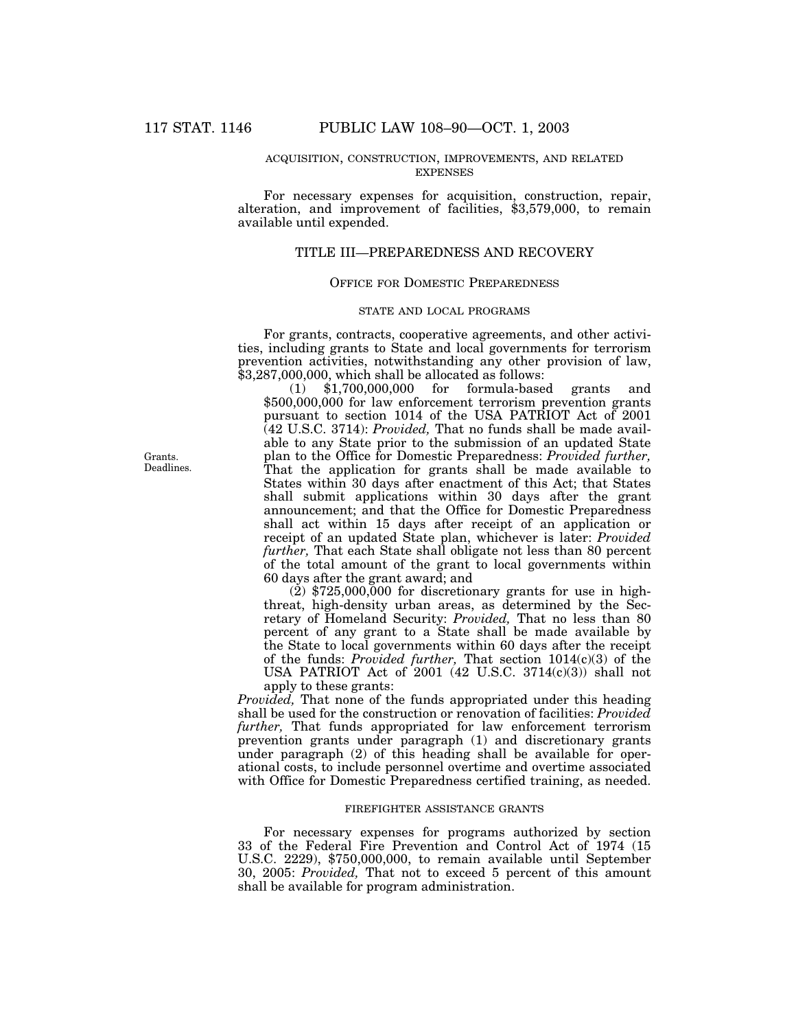## ACQUISITION, CONSTRUCTION, IMPROVEMENTS, AND RELATED EXPENSES

For necessary expenses for acquisition, construction, repair, alteration, and improvement of facilities, \$3,579,000, to remain available until expended.

# TITLE III—PREPAREDNESS AND RECOVERY

## OFFICE FOR DOMESTIC PREPAREDNESS

#### STATE AND LOCAL PROGRAMS

For grants, contracts, cooperative agreements, and other activities, including grants to State and local governments for terrorism prevention activities, notwithstanding any other provision of law, \$3,287,000,000, which shall be allocated as follows:

(1) \$1,700,000,000 for formula-based grants and \$500,000,000 for law enforcement terrorism prevention grants pursuant to section 1014 of the USA PATRIOT Act of 2001 (42 U.S.C. 3714): *Provided,* That no funds shall be made available to any State prior to the submission of an updated State plan to the Office for Domestic Preparedness: *Provided further,* That the application for grants shall be made available to States within 30 days after enactment of this Act; that States shall submit applications within 30 days after the grant announcement; and that the Office for Domestic Preparedness shall act within 15 days after receipt of an application or receipt of an updated State plan, whichever is later: *Provided further,* That each State shall obligate not less than 80 percent of the total amount of the grant to local governments within 60 days after the grant award; and

 $(2)$  \$725,000,000 for discretionary grants for use in highthreat, high-density urban areas, as determined by the Secretary of Homeland Security: *Provided,* That no less than 80 percent of any grant to a State shall be made available by the State to local governments within 60 days after the receipt of the funds: *Provided further,* That section 1014(c)(3) of the USA PATRIOT Act of 2001 (42 U.S.C. 3714(c)(3)) shall not apply to these grants:

*Provided,* That none of the funds appropriated under this heading shall be used for the construction or renovation of facilities: *Provided further,* That funds appropriated for law enforcement terrorism prevention grants under paragraph (1) and discretionary grants under paragraph (2) of this heading shall be available for operational costs, to include personnel overtime and overtime associated with Office for Domestic Preparedness certified training, as needed.

### FIREFIGHTER ASSISTANCE GRANTS

For necessary expenses for programs authorized by section 33 of the Federal Fire Prevention and Control Act of 1974 (15 U.S.C. 2229), \$750,000,000, to remain available until September 30, 2005: *Provided,* That not to exceed 5 percent of this amount shall be available for program administration.

Grants. Deadlines.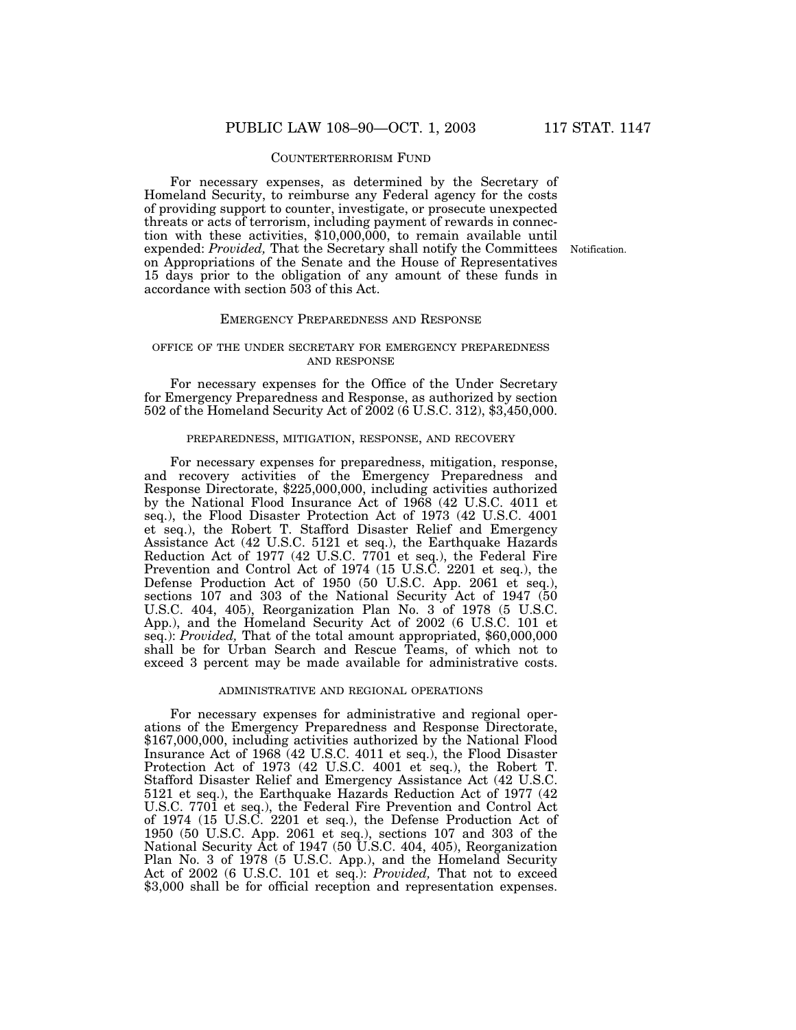#### COUNTERTERRORISM FUND

For necessary expenses, as determined by the Secretary of Homeland Security, to reimburse any Federal agency for the costs of providing support to counter, investigate, or prosecute unexpected threats or acts of terrorism, including payment of rewards in connection with these activities, \$10,000,000, to remain available until expended: *Provided,* That the Secretary shall notify the Committees on Appropriations of the Senate and the House of Representatives 15 days prior to the obligation of any amount of these funds in accordance with section 503 of this Act.

Notification.

### EMERGENCY PREPAREDNESS AND RESPONSE

### OFFICE OF THE UNDER SECRETARY FOR EMERGENCY PREPAREDNESS AND RESPONSE

For necessary expenses for the Office of the Under Secretary for Emergency Preparedness and Response, as authorized by section 502 of the Homeland Security Act of 2002 (6 U.S.C. 312), \$3,450,000.

#### PREPAREDNESS, MITIGATION, RESPONSE, AND RECOVERY

For necessary expenses for preparedness, mitigation, response, and recovery activities of the Emergency Preparedness and Response Directorate, \$225,000,000, including activities authorized by the National Flood Insurance Act of 1968 (42 U.S.C. 4011 et seq.), the Flood Disaster Protection Act of 1973 (42 U.S.C. 4001 et seq.), the Robert T. Stafford Disaster Relief and Emergency Assistance Act (42 U.S.C. 5121 et seq.), the Earthquake Hazards Reduction Act of 1977 (42 U.S.C. 7701 et seq.), the Federal Fire Prevention and Control Act of 1974 (15 U.S.C. 2201 et seq.), the Defense Production Act of 1950 (50 U.S.C. App. 2061 et seq.), sections 107 and 303 of the National Security Act of 1947 (50 U.S.C. 404, 405), Reorganization Plan No. 3 of 1978 (5 U.S.C. App.), and the Homeland Security Act of 2002 (6 U.S.C. 101 et seq.): *Provided,* That of the total amount appropriated, \$60,000,000 shall be for Urban Search and Rescue Teams, of which not to exceed 3 percent may be made available for administrative costs.

#### ADMINISTRATIVE AND REGIONAL OPERATIONS

For necessary expenses for administrative and regional operations of the Emergency Preparedness and Response Directorate, \$167,000,000, including activities authorized by the National Flood Insurance Act of 1968 (42 U.S.C. 4011 et seq.), the Flood Disaster Protection Act of 1973 (42 U.S.C. 4001 et  $seg.$ ), the Robert T. Stafford Disaster Relief and Emergency Assistance Act (42 U.S.C. 5121 et seq.), the Earthquake Hazards Reduction Act of 1977 (42 U.S.C. 7701 et seq.), the Federal Fire Prevention and Control Act of 1974 (15 U.S.C. 2201 et seq.), the Defense Production Act of 1950 (50 U.S.C. App. 2061 et seq.), sections 107 and 303 of the National Security Act of 1947 (50 U.S.C. 404, 405), Reorganization Plan No. 3 of 1978 (5 U.S.C. App.), and the Homeland Security Act of 2002 (6 U.S.C. 101 et seq.): *Provided,* That not to exceed \$3,000 shall be for official reception and representation expenses.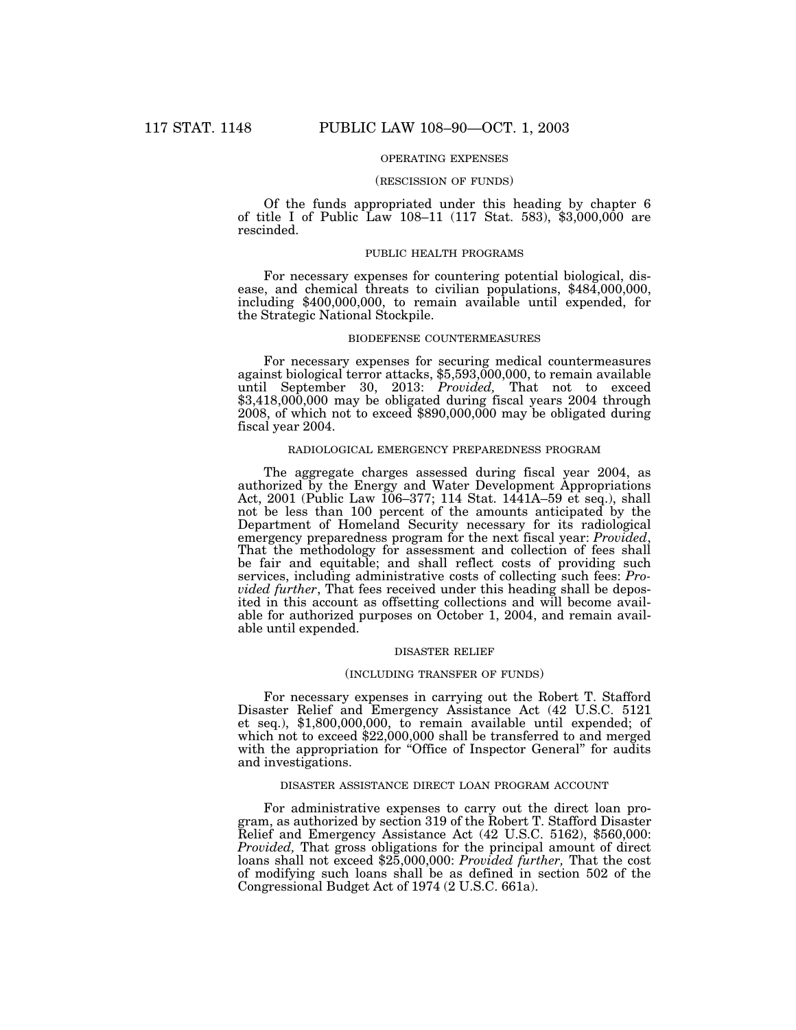## OPERATING EXPENSES

#### (RESCISSION OF FUNDS)

Of the funds appropriated under this heading by chapter 6 of title I of Public Law 108–11 (117 Stat. 583),  $$3,000,000$  are rescinded.

#### PUBLIC HEALTH PROGRAMS

For necessary expenses for countering potential biological, disease, and chemical threats to civilian populations, \$484,000,000, including \$400,000,000, to remain available until expended, for the Strategic National Stockpile.

#### BIODEFENSE COUNTERMEASURES

For necessary expenses for securing medical countermeasures against biological terror attacks, \$5,593,000,000, to remain available until September 30, 2013: *Provided,* That not to exceed \$3,418,000,000 may be obligated during fiscal years 2004 through 2008, of which not to exceed \$890,000,000 may be obligated during fiscal year 2004.

#### RADIOLOGICAL EMERGENCY PREPAREDNESS PROGRAM

The aggregate charges assessed during fiscal year 2004, as authorized by the Energy and Water Development Appropriations Act, 2001 (Public Law 106–377; 114 Stat. 1441A–59 et seq.), shall not be less than 100 percent of the amounts anticipated by the Department of Homeland Security necessary for its radiological emergency preparedness program for the next fiscal year: *Provided*, That the methodology for assessment and collection of fees shall be fair and equitable; and shall reflect costs of providing such services, including administrative costs of collecting such fees: *Provided further*, That fees received under this heading shall be deposited in this account as offsetting collections and will become available for authorized purposes on October 1, 2004, and remain available until expended.

#### DISASTER RELIEF

#### (INCLUDING TRANSFER OF FUNDS)

For necessary expenses in carrying out the Robert T. Stafford Disaster Relief and Emergency Assistance Act (42 U.S.C. 5121 et seq.), \$1,800,000,000, to remain available until expended; of which not to exceed \$22,000,000 shall be transferred to and merged with the appropriation for "Office of Inspector General" for audits and investigations.

#### DISASTER ASSISTANCE DIRECT LOAN PROGRAM ACCOUNT

For administrative expenses to carry out the direct loan program, as authorized by section 319 of the Robert T. Stafford Disaster Relief and Emergency Assistance Act (42 U.S.C. 5162), \$560,000: *Provided,* That gross obligations for the principal amount of direct loans shall not exceed \$25,000,000: *Provided further,* That the cost of modifying such loans shall be as defined in section 502 of the Congressional Budget Act of 1974 (2 U.S.C. 661a).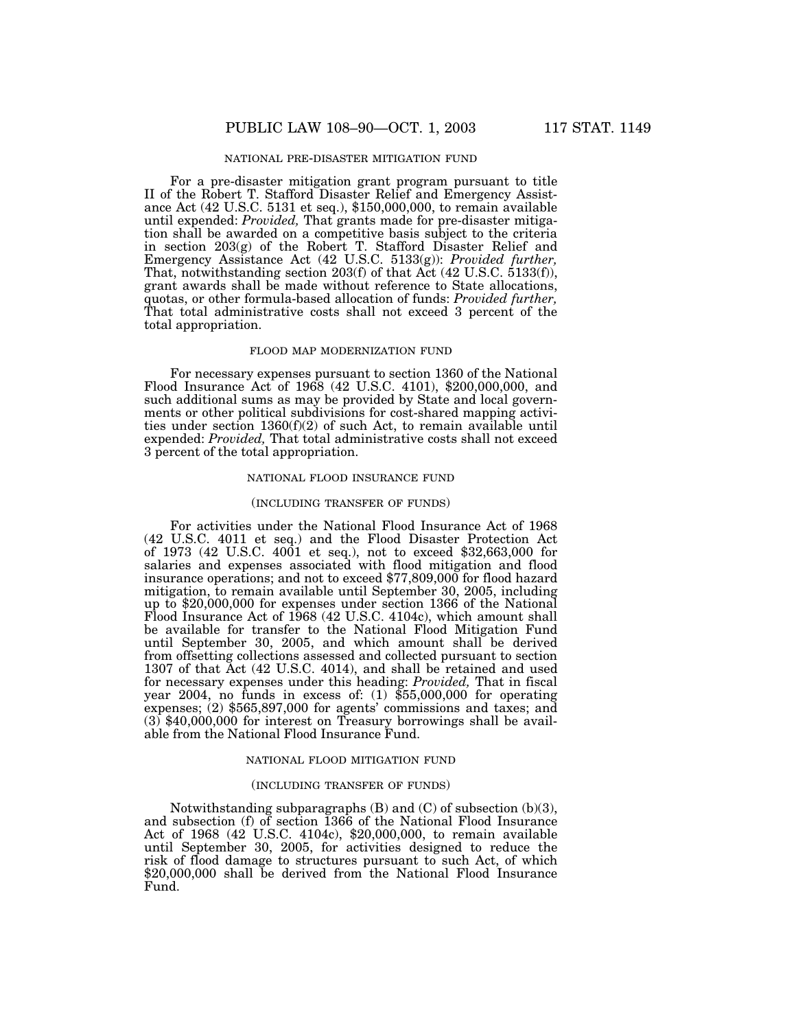### NATIONAL PRE-DISASTER MITIGATION FUND

For a pre-disaster mitigation grant program pursuant to title II of the Robert T. Stafford Disaster Relief and Emergency Assistance Act (42 U.S.C. 5131 et seq.), \$150,000,000, to remain available until expended: *Provided,* That grants made for pre-disaster mitigation shall be awarded on a competitive basis subject to the criteria in section 203(g) of the Robert T. Stafford Disaster Relief and Emergency Assistance Act (42 U.S.C. 5133(g)): *Provided further,* That, notwithstanding section 203(f) of that Act (42 U.S.C. 5133(f)), grant awards shall be made without reference to State allocations, quotas, or other formula-based allocation of funds: *Provided further,* That total administrative costs shall not exceed 3 percent of the total appropriation.

### FLOOD MAP MODERNIZATION FUND

For necessary expenses pursuant to section 1360 of the National Flood Insurance Act of 1968 (42 U.S.C. 4101), \$200,000,000, and such additional sums as may be provided by State and local governments or other political subdivisions for cost-shared mapping activities under section 1360(f)(2) of such Act, to remain available until expended: *Provided,* That total administrative costs shall not exceed 3 percent of the total appropriation.

## NATIONAL FLOOD INSURANCE FUND

#### (INCLUDING TRANSFER OF FUNDS)

For activities under the National Flood Insurance Act of 1968 (42 U.S.C. 4011 et seq.) and the Flood Disaster Protection Act of 1973 (42 U.S.C. 4001 et seq.), not to exceed \$32,663,000 for salaries and expenses associated with flood mitigation and flood insurance operations; and not to exceed \$77,809,000 for flood hazard mitigation, to remain available until September 30, 2005, including up to \$20,000,000 for expenses under section 1366 of the National Flood Insurance Act of 1968 (42 U.S.C. 4104c), which amount shall be available for transfer to the National Flood Mitigation Fund until September 30, 2005, and which amount shall be derived from offsetting collections assessed and collected pursuant to section 1307 of that Act (42 U.S.C. 4014), and shall be retained and used for necessary expenses under this heading: *Provided,* That in fiscal year 2004, no funds in excess of: (1) \$55,000,000 for operating expenses; (2) \$565,897,000 for agents' commissions and taxes; and (3) \$40,000,000 for interest on Treasury borrowings shall be available from the National Flood Insurance Fund.

### NATIONAL FLOOD MITIGATION FUND

#### (INCLUDING TRANSFER OF FUNDS)

Notwithstanding subparagraphs (B) and (C) of subsection (b)(3), and subsection (f) of section 1366 of the National Flood Insurance Act of 1968 (42 U.S.C. 4104c), \$20,000,000, to remain available until September 30, 2005, for activities designed to reduce the risk of flood damage to structures pursuant to such Act, of which \$20,000,000 shall be derived from the National Flood Insurance Fund.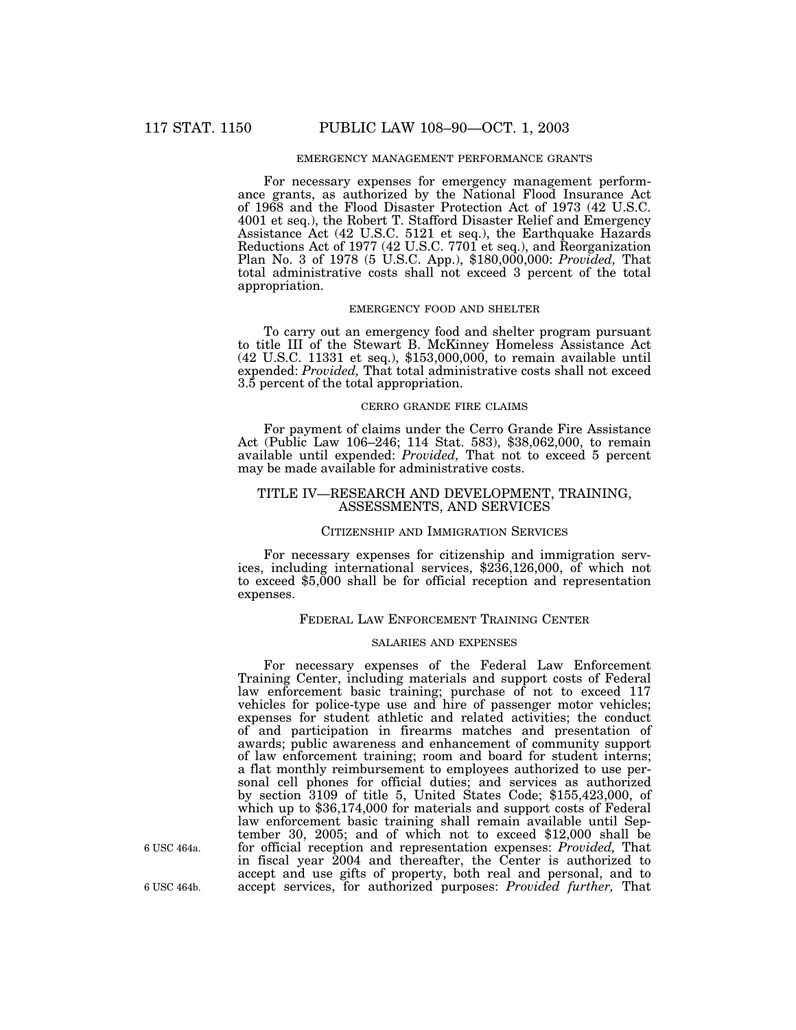## EMERGENCY MANAGEMENT PERFORMANCE GRANTS

For necessary expenses for emergency management performance grants, as authorized by the National Flood Insurance Act of 1968 and the Flood Disaster Protection Act of 1973 (42 U.S.C. 4001 et seq.), the Robert T. Stafford Disaster Relief and Emergency Assistance Act (42 U.S.C. 5121 et seq.), the Earthquake Hazards Reductions Act of 1977 (42 U.S.C. 7701 et seq.), and Reorganization Plan No. 3 of 1978 (5 U.S.C. App.), \$180,000,000: *Provided,* That total administrative costs shall not exceed 3 percent of the total appropriation.

#### EMERGENCY FOOD AND SHELTER

To carry out an emergency food and shelter program pursuant to title III of the Stewart B. McKinney Homeless Assistance Act (42 U.S.C. 11331 et seq.), \$153,000,000, to remain available until expended: *Provided,* That total administrative costs shall not exceed 3.5 percent of the total appropriation.

## CERRO GRANDE FIRE CLAIMS

For payment of claims under the Cerro Grande Fire Assistance Act (Public Law 106–246; 114 Stat. 583), \$38,062,000, to remain available until expended: *Provided,* That not to exceed 5 percent may be made available for administrative costs.

## TITLE IV—RESEARCH AND DEVELOPMENT, TRAINING, ASSESSMENTS, AND SERVICES

### CITIZENSHIP AND IMMIGRATION SERVICES

For necessary expenses for citizenship and immigration services, including international services, \$236,126,000, of which not to exceed \$5,000 shall be for official reception and representation expenses.

#### FEDERAL LAW ENFORCEMENT TRAINING CENTER

#### SALARIES AND EXPENSES

For necessary expenses of the Federal Law Enforcement Training Center, including materials and support costs of Federal law enforcement basic training; purchase of not to exceed 117 vehicles for police-type use and hire of passenger motor vehicles; expenses for student athletic and related activities; the conduct of and participation in firearms matches and presentation of awards; public awareness and enhancement of community support of law enforcement training; room and board for student interns; a flat monthly reimbursement to employees authorized to use personal cell phones for official duties; and services as authorized by section 3109 of title 5, United States Code; \$155,423,000, of which up to \$36,174,000 for materials and support costs of Federal law enforcement basic training shall remain available until September 30, 2005; and of which not to exceed \$12,000 shall be for official reception and representation expenses: *Provided,* That in fiscal year 2004 and thereafter, the Center is authorized to accept and use gifts of property, both real and personal, and to 6 USC 464b. accept services, for authorized purposes: *Provided further,* That

6 USC 464a.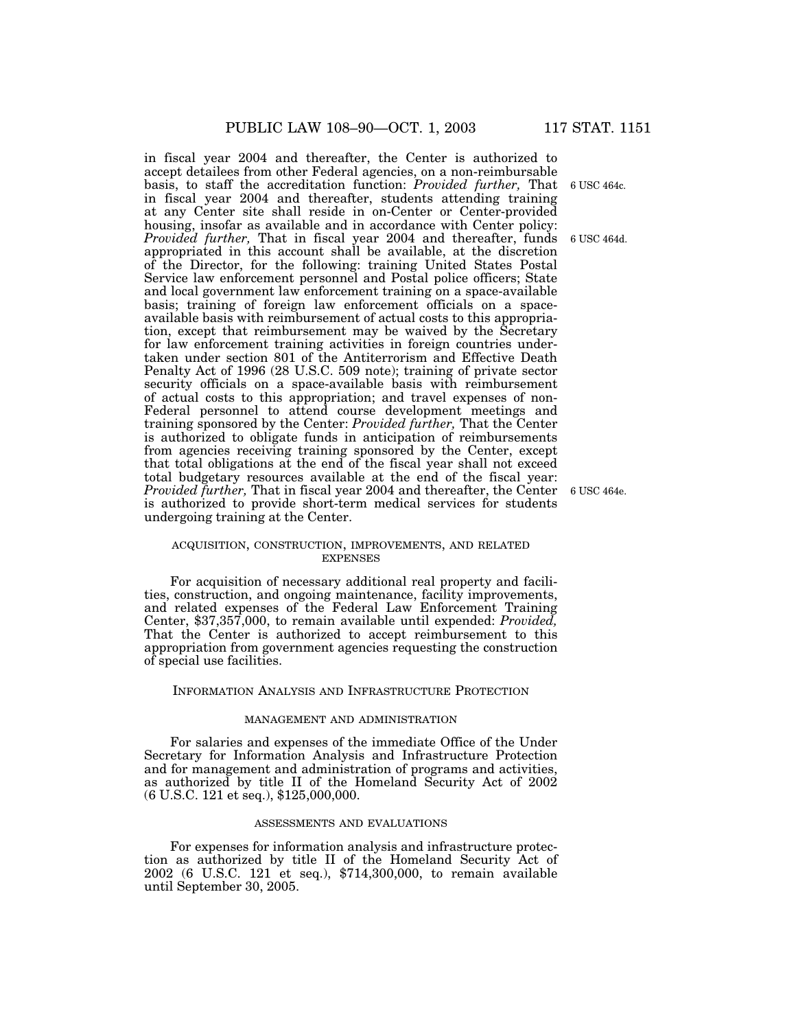in fiscal year 2004 and thereafter, the Center is authorized to accept detailees from other Federal agencies, on a non-reimbursable basis, to staff the accreditation function: *Provided further,* That 6 USC 464c. in fiscal year 2004 and thereafter, students attending training at any Center site shall reside in on-Center or Center-provided housing, insofar as available and in accordance with Center policy: Provided further, That in fiscal year 2004 and thereafter, funds 6 USC 464d. appropriated in this account shall be available, at the discretion of the Director, for the following: training United States Postal Service law enforcement personnel and Postal police officers; State and local government law enforcement training on a space-available basis; training of foreign law enforcement officials on a spaceavailable basis with reimbursement of actual costs to this appropriation, except that reimbursement may be waived by the Secretary for law enforcement training activities in foreign countries undertaken under section 801 of the Antiterrorism and Effective Death Penalty Act of 1996 (28 U.S.C. 509 note); training of private sector security officials on a space-available basis with reimbursement of actual costs to this appropriation; and travel expenses of non-Federal personnel to attend course development meetings and training sponsored by the Center: *Provided further,* That the Center is authorized to obligate funds in anticipation of reimbursements from agencies receiving training sponsored by the Center, except that total obligations at the end of the fiscal year shall not exceed total budgetary resources available at the end of the fiscal year: *Provided further,* That in fiscal year 2004 and thereafter, the Center is authorized to provide short-term medical services for students undergoing training at the Center.

### ACQUISITION, CONSTRUCTION, IMPROVEMENTS, AND RELATED EXPENSES

For acquisition of necessary additional real property and facilities, construction, and ongoing maintenance, facility improvements, and related expenses of the Federal Law Enforcement Training Center, \$37,357,000, to remain available until expended: *Provided,* That the Center is authorized to accept reimbursement to this appropriation from government agencies requesting the construction of special use facilities.

### INFORMATION ANALYSIS AND INFRASTRUCTURE PROTECTION

## MANAGEMENT AND ADMINISTRATION

For salaries and expenses of the immediate Office of the Under Secretary for Information Analysis and Infrastructure Protection and for management and administration of programs and activities, as authorized by title II of the Homeland Security Act of 2002 (6 U.S.C. 121 et seq.), \$125,000,000.

### ASSESSMENTS AND EVALUATIONS

For expenses for information analysis and infrastructure protection as authorized by title II of the Homeland Security Act of 2002 (6 U.S.C. 121 et seq.), \$714,300,000, to remain available until September 30, 2005.

6 USC 464e.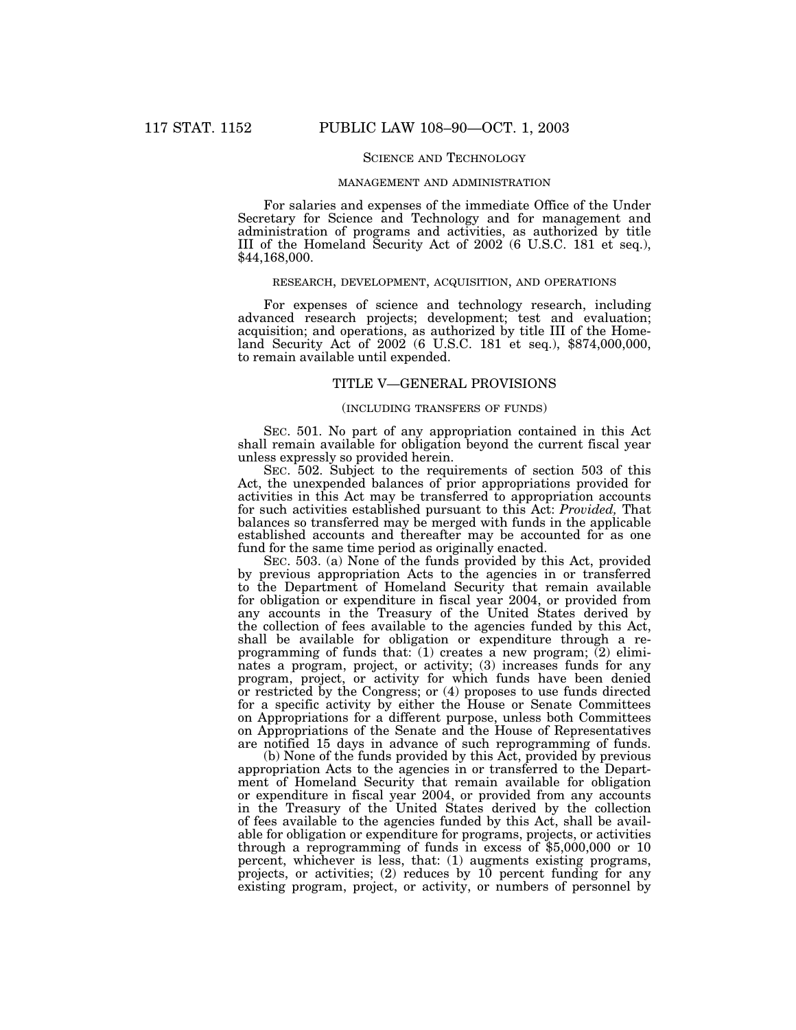## SCIENCE AND TECHNOLOGY

#### MANAGEMENT AND ADMINISTRATION

For salaries and expenses of the immediate Office of the Under Secretary for Science and Technology and for management and administration of programs and activities, as authorized by title III of the Homeland Security Act of 2002 (6 U.S.C. 181 et seq.), \$44,168,000.

### RESEARCH, DEVELOPMENT, ACQUISITION, AND OPERATIONS

For expenses of science and technology research, including advanced research projects; development; test and evaluation; acquisition; and operations, as authorized by title III of the Homeland Security Act of 2002 (6 U.S.C. 181 et seq.), \$874,000,000, to remain available until expended.

### TITLE V—GENERAL PROVISIONS

## (INCLUDING TRANSFERS OF FUNDS)

SEC. 501. No part of any appropriation contained in this Act shall remain available for obligation beyond the current fiscal year unless expressly so provided herein.

SEC. 502. Subject to the requirements of section 503 of this Act, the unexpended balances of prior appropriations provided for activities in this Act may be transferred to appropriation accounts for such activities established pursuant to this Act: *Provided,* That balances so transferred may be merged with funds in the applicable established accounts and thereafter may be accounted for as one fund for the same time period as originally enacted.

SEC. 503. (a) None of the funds provided by this Act, provided by previous appropriation Acts to the agencies in or transferred to the Department of Homeland Security that remain available for obligation or expenditure in fiscal year 2004, or provided from any accounts in the Treasury of the United States derived by the collection of fees available to the agencies funded by this Act, shall be available for obligation or expenditure through a reprogramming of funds that: (1) creates a new program;  $(2)$  eliminates a program, project, or activity; (3) increases funds for any program, project, or activity for which funds have been denied or restricted by the Congress; or (4) proposes to use funds directed for a specific activity by either the House or Senate Committees on Appropriations for a different purpose, unless both Committees on Appropriations of the Senate and the House of Representatives are notified 15 days in advance of such reprogramming of funds.

(b) None of the funds provided by this Act, provided by previous appropriation Acts to the agencies in or transferred to the Department of Homeland Security that remain available for obligation or expenditure in fiscal year 2004, or provided from any accounts in the Treasury of the United States derived by the collection of fees available to the agencies funded by this Act, shall be available for obligation or expenditure for programs, projects, or activities through a reprogramming of funds in excess of \$5,000,000 or 10 percent, whichever is less, that: (1) augments existing programs, projects, or activities; (2) reduces by 10 percent funding for any existing program, project, or activity, or numbers of personnel by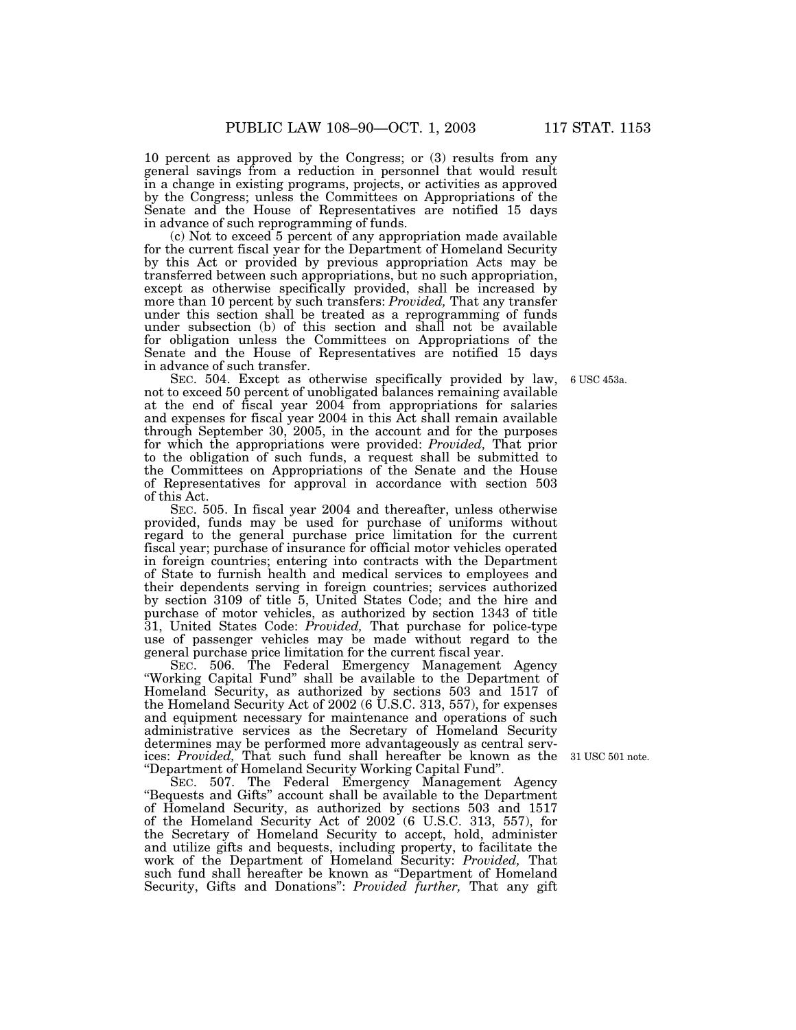10 percent as approved by the Congress; or (3) results from any general savings from a reduction in personnel that would result in a change in existing programs, projects, or activities as approved by the Congress; unless the Committees on Appropriations of the Senate and the House of Representatives are notified 15 days in advance of such reprogramming of funds.

(c) Not to exceed 5 percent of any appropriation made available for the current fiscal year for the Department of Homeland Security by this Act or provided by previous appropriation Acts may be transferred between such appropriations, but no such appropriation, except as otherwise specifically provided, shall be increased by more than 10 percent by such transfers: *Provided,* That any transfer under this section shall be treated as a reprogramming of funds under subsection (b) of this section and shall not be available for obligation unless the Committees on Appropriations of the Senate and the House of Representatives are notified 15 days in advance of such transfer.

SEC. 504. Except as otherwise specifically provided by law, not to exceed 50 percent of unobligated balances remaining available at the end of fiscal year 2004 from appropriations for salaries and expenses for fiscal year 2004 in this Act shall remain available through September 30, 2005, in the account and for the purposes for which the appropriations were provided: *Provided*, That prior to the obligation of such funds, a request shall be submitted to the Committees on Appropriations of the Senate and the House of Representatives for approval in accordance with section 503 of this Act.

SEC. 505. In fiscal year 2004 and thereafter, unless otherwise provided, funds may be used for purchase of uniforms without regard to the general purchase price limitation for the current fiscal year; purchase of insurance for official motor vehicles operated in foreign countries; entering into contracts with the Department of State to furnish health and medical services to employees and their dependents serving in foreign countries; services authorized by section 3109 of title 5, United States Code; and the hire and purchase of motor vehicles, as authorized by section 1343 of title 31, United States Code: *Provided,* That purchase for police-type use of passenger vehicles may be made without regard to the general purchase price limitation for the current fiscal year.

SEC. 506. The Federal Emergency Management Agency ''Working Capital Fund'' shall be available to the Department of Homeland Security, as authorized by sections 503 and 1517 of the Homeland Security Act of 2002 (6 U.S.C. 313, 557), for expenses and equipment necessary for maintenance and operations of such administrative services as the Secretary of Homeland Security determines may be performed more advantageously as central services: *Provided,* That such fund shall hereafter be known as the 31 USC 501 note. ''Department of Homeland Security Working Capital Fund''.

SEC. 507. The Federal Emergency Management Agency ''Bequests and Gifts'' account shall be available to the Department of Homeland Security, as authorized by sections 503 and 1517 of the Homeland Security Act of 2002 (6 U.S.C. 313, 557), for the Secretary of Homeland Security to accept, hold, administer and utilize gifts and bequests, including property, to facilitate the work of the Department of Homeland Security: *Provided,* That such fund shall hereafter be known as ''Department of Homeland Security, Gifts and Donations'': *Provided further,* That any gift

6 USC 453a.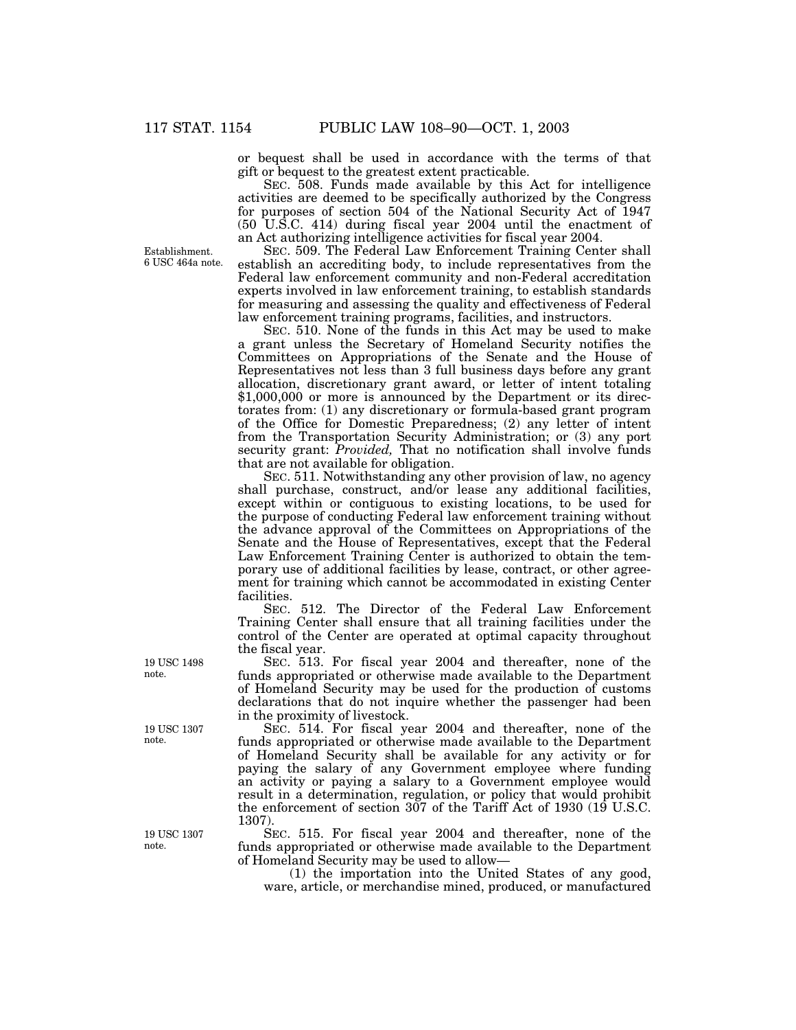Establishment. 6 USC 464a note. or bequest shall be used in accordance with the terms of that gift or bequest to the greatest extent practicable.

SEC. 508. Funds made available by this Act for intelligence activities are deemed to be specifically authorized by the Congress for purposes of section 504 of the National Security Act of 1947 (50 U.S.C. 414) during fiscal year 2004 until the enactment of an Act authorizing intelligence activities for fiscal year 2004.

SEC. 509. The Federal Law Enforcement Training Center shall establish an accrediting body, to include representatives from the Federal law enforcement community and non-Federal accreditation experts involved in law enforcement training, to establish standards for measuring and assessing the quality and effectiveness of Federal law enforcement training programs, facilities, and instructors.

SEC. 510. None of the funds in this Act may be used to make a grant unless the Secretary of Homeland Security notifies the Committees on Appropriations of the Senate and the House of Representatives not less than 3 full business days before any grant allocation, discretionary grant award, or letter of intent totaling \$1,000,000 or more is announced by the Department or its directorates from: (1) any discretionary or formula-based grant program of the Office for Domestic Preparedness; (2) any letter of intent from the Transportation Security Administration; or (3) any port security grant: *Provided,* That no notification shall involve funds that are not available for obligation.

SEC. 511. Notwithstanding any other provision of law, no agency shall purchase, construct, and/or lease any additional facilities, except within or contiguous to existing locations, to be used for the purpose of conducting Federal law enforcement training without the advance approval of the Committees on Appropriations of the Senate and the House of Representatives, except that the Federal Law Enforcement Training Center is authorized to obtain the temporary use of additional facilities by lease, contract, or other agreement for training which cannot be accommodated in existing Center facilities.

SEC. 512. The Director of the Federal Law Enforcement Training Center shall ensure that all training facilities under the control of the Center are operated at optimal capacity throughout the fiscal year.

SEC. 513. For fiscal year 2004 and thereafter, none of the funds appropriated or otherwise made available to the Department of Homeland Security may be used for the production of customs declarations that do not inquire whether the passenger had been in the proximity of livestock.

SEC. 514. For fiscal year 2004 and thereafter, none of the funds appropriated or otherwise made available to the Department of Homeland Security shall be available for any activity or for paying the salary of any Government employee where funding an activity or paying a salary to a Government employee would result in a determination, regulation, or policy that would prohibit the enforcement of section 307 of the Tariff Act of 1930 (19 U.S.C. 1307).

SEC. 515. For fiscal year 2004 and thereafter, none of the funds appropriated or otherwise made available to the Department of Homeland Security may be used to allow—

(1) the importation into the United States of any good, ware, article, or merchandise mined, produced, or manufactured

19 USC 1498 note.

19 USC 1307 note.

19 USC 1307 note.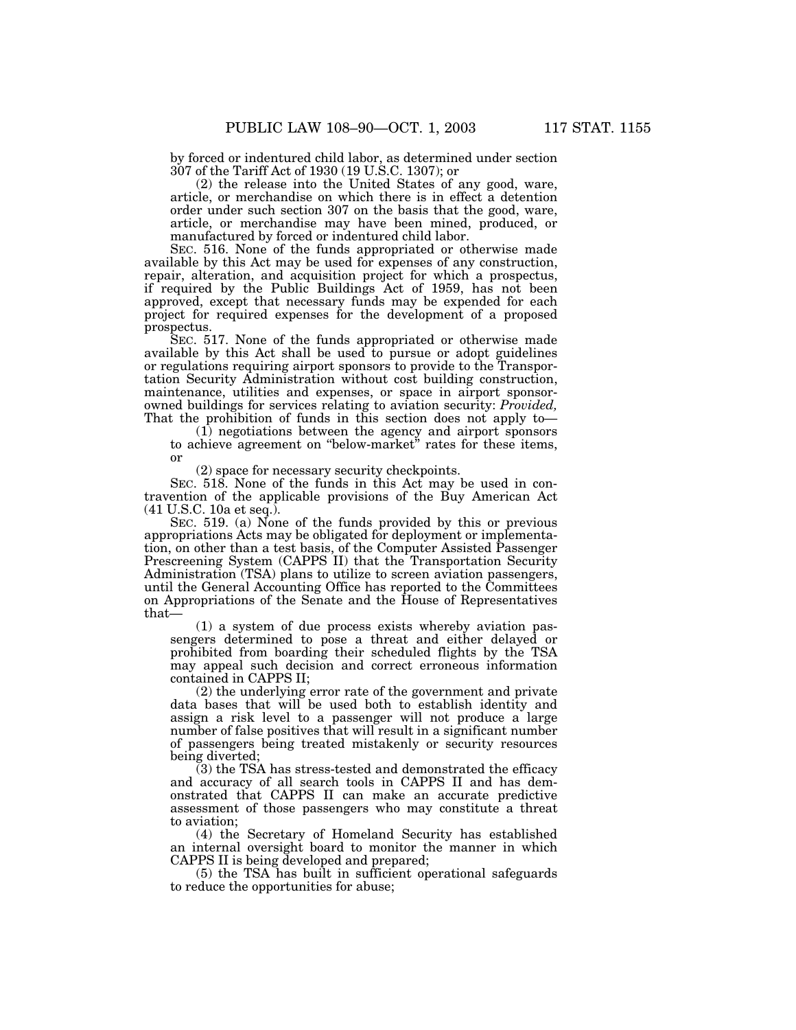by forced or indentured child labor, as determined under section 307 of the Tariff Act of 1930 (19 U.S.C. 1307); or

(2) the release into the United States of any good, ware, article, or merchandise on which there is in effect a detention order under such section 307 on the basis that the good, ware, article, or merchandise may have been mined, produced, or manufactured by forced or indentured child labor.

SEC. 516. None of the funds appropriated or otherwise made available by this Act may be used for expenses of any construction, repair, alteration, and acquisition project for which a prospectus, if required by the Public Buildings Act of 1959, has not been approved, except that necessary funds may be expended for each project for required expenses for the development of a proposed prospectus.

SEC. 517. None of the funds appropriated or otherwise made available by this Act shall be used to pursue or adopt guidelines or regulations requiring airport sponsors to provide to the Transportation Security Administration without cost building construction, maintenance, utilities and expenses, or space in airport sponsorowned buildings for services relating to aviation security: *Provided,* That the prohibition of funds in this section does not apply to—

(1) negotiations between the agency and airport sponsors to achieve agreement on ''below-market'' rates for these items, or

(2) space for necessary security checkpoints.

SEC. 518. None of the funds in this Act may be used in contravention of the applicable provisions of the Buy American Act (41 U.S.C. 10a et seq.).

SEC. 519. (a) None of the funds provided by this or previous appropriations Acts may be obligated for deployment or implementation, on other than a test basis, of the Computer Assisted Passenger Prescreening System (CAPPS II) that the Transportation Security Administration (TSA) plans to utilize to screen aviation passengers, until the General Accounting Office has reported to the Committees on Appropriations of the Senate and the House of Representatives that—

(1) a system of due process exists whereby aviation passengers determined to pose a threat and either delayed or prohibited from boarding their scheduled flights by the TSA may appeal such decision and correct erroneous information contained in CAPPS II;

(2) the underlying error rate of the government and private data bases that will be used both to establish identity and assign a risk level to a passenger will not produce a large number of false positives that will result in a significant number of passengers being treated mistakenly or security resources being diverted;

(3) the TSA has stress-tested and demonstrated the efficacy and accuracy of all search tools in CAPPS II and has demonstrated that CAPPS II can make an accurate predictive assessment of those passengers who may constitute a threat to aviation;

(4) the Secretary of Homeland Security has established an internal oversight board to monitor the manner in which CAPPS II is being developed and prepared;

(5) the TSA has built in sufficient operational safeguards to reduce the opportunities for abuse;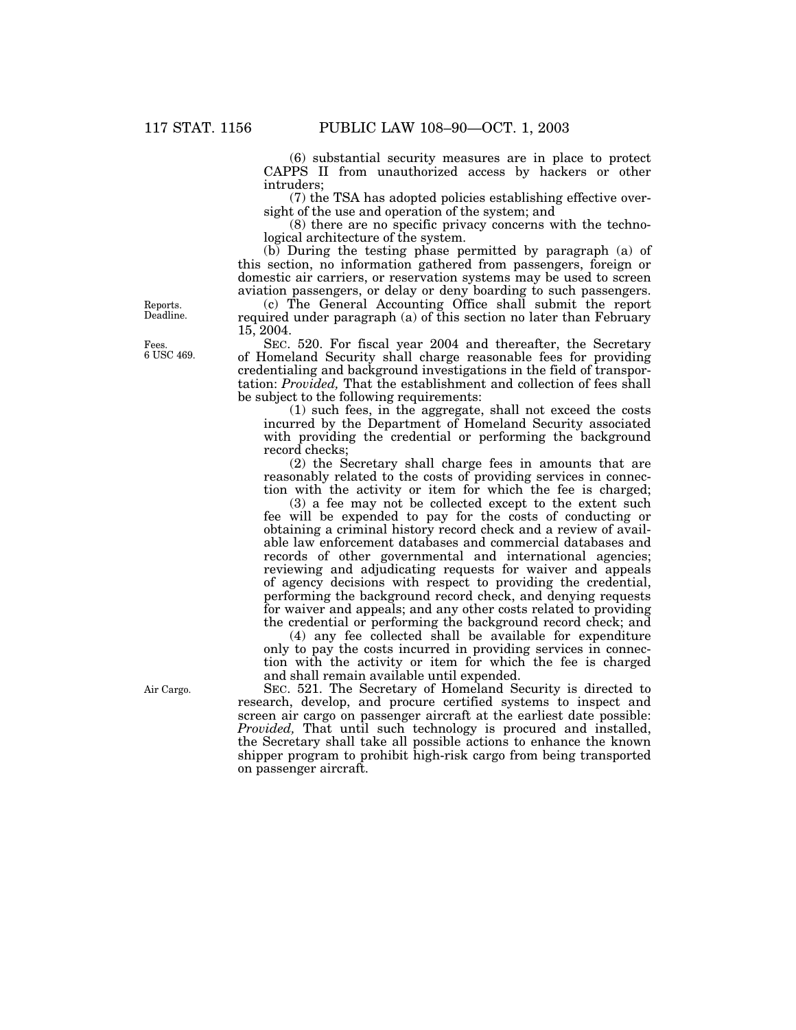(6) substantial security measures are in place to protect CAPPS II from unauthorized access by hackers or other intruders;

(7) the TSA has adopted policies establishing effective oversight of the use and operation of the system; and

(8) there are no specific privacy concerns with the technological architecture of the system.

(b) During the testing phase permitted by paragraph (a) of this section, no information gathered from passengers, foreign or domestic air carriers, or reservation systems may be used to screen aviation passengers, or delay or deny boarding to such passengers.

(c) The General Accounting Office shall submit the report required under paragraph (a) of this section no later than February 15, 2004.

SEC. 520. For fiscal year 2004 and thereafter, the Secretary of Homeland Security shall charge reasonable fees for providing credentialing and background investigations in the field of transportation: *Provided,* That the establishment and collection of fees shall be subject to the following requirements:

(1) such fees, in the aggregate, shall not exceed the costs incurred by the Department of Homeland Security associated with providing the credential or performing the background record checks;

(2) the Secretary shall charge fees in amounts that are reasonably related to the costs of providing services in connection with the activity or item for which the fee is charged;

(3) a fee may not be collected except to the extent such fee will be expended to pay for the costs of conducting or obtaining a criminal history record check and a review of available law enforcement databases and commercial databases and records of other governmental and international agencies; reviewing and adjudicating requests for waiver and appeals of agency decisions with respect to providing the credential, performing the background record check, and denying requests for waiver and appeals; and any other costs related to providing the credential or performing the background record check; and

(4) any fee collected shall be available for expenditure only to pay the costs incurred in providing services in connection with the activity or item for which the fee is charged and shall remain available until expended.

SEC. 521. The Secretary of Homeland Security is directed to research, develop, and procure certified systems to inspect and screen air cargo on passenger aircraft at the earliest date possible: *Provided,* That until such technology is procured and installed, the Secretary shall take all possible actions to enhance the known shipper program to prohibit high-risk cargo from being transported on passenger aircraft.

Reports. Deadline.

Fees. 6 USC 469.

Air Cargo.